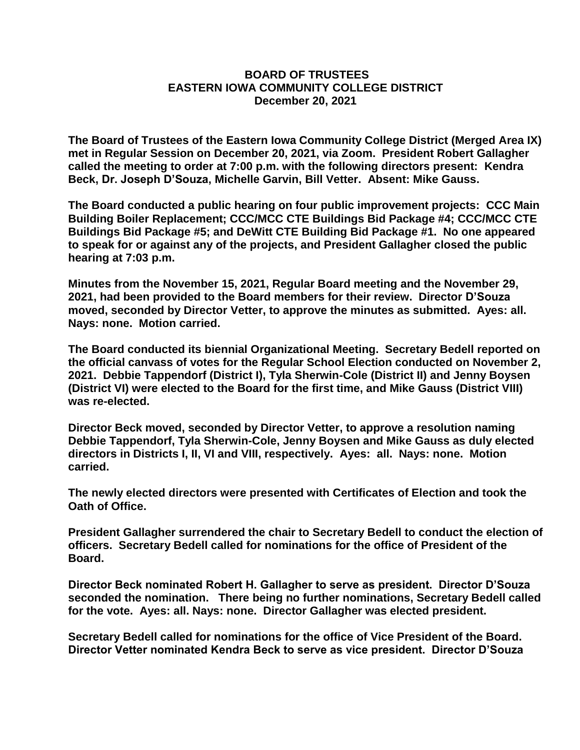## **BOARD OF TRUSTEES EASTERN IOWA COMMUNITY COLLEGE DISTRICT December 20, 2021**

**The Board of Trustees of the Eastern Iowa Community College District (Merged Area IX) met in Regular Session on December 20, 2021, via Zoom. President Robert Gallagher called the meeting to order at 7:00 p.m. with the following directors present: Kendra Beck, Dr. Joseph D'Souza, Michelle Garvin, Bill Vetter. Absent: Mike Gauss.** 

**The Board conducted a public hearing on four public improvement projects: CCC Main Building Boiler Replacement; CCC/MCC CTE Buildings Bid Package #4; CCC/MCC CTE Buildings Bid Package #5; and DeWitt CTE Building Bid Package #1. No one appeared to speak for or against any of the projects, and President Gallagher closed the public hearing at 7:03 p.m.** 

**Minutes from the November 15, 2021, Regular Board meeting and the November 29, 2021, had been provided to the Board members for their review. Director D'Souza moved, seconded by Director Vetter, to approve the minutes as submitted. Ayes: all. Nays: none. Motion carried.** 

**The Board conducted its biennial Organizational Meeting. Secretary Bedell reported on the official canvass of votes for the Regular School Election conducted on November 2, 2021. Debbie Tappendorf (District I), Tyla Sherwin-Cole (District II) and Jenny Boysen (District VI) were elected to the Board for the first time, and Mike Gauss (District VIII) was re-elected.** 

**Director Beck moved, seconded by Director Vetter, to approve a resolution naming Debbie Tappendorf, Tyla Sherwin-Cole, Jenny Boysen and Mike Gauss as duly elected directors in Districts I, II, VI and VIII, respectively. Ayes: all. Nays: none. Motion carried.** 

**The newly elected directors were presented with Certificates of Election and took the Oath of Office.** 

**President Gallagher surrendered the chair to Secretary Bedell to conduct the election of officers. Secretary Bedell called for nominations for the office of President of the Board.** 

**Director Beck nominated Robert H. Gallagher to serve as president. Director D'Souza seconded the nomination. There being no further nominations, Secretary Bedell called for the vote. Ayes: all. Nays: none. Director Gallagher was elected president.** 

**Secretary Bedell called for nominations for the office of Vice President of the Board. Director Vetter nominated Kendra Beck to serve as vice president. Director D'Souza**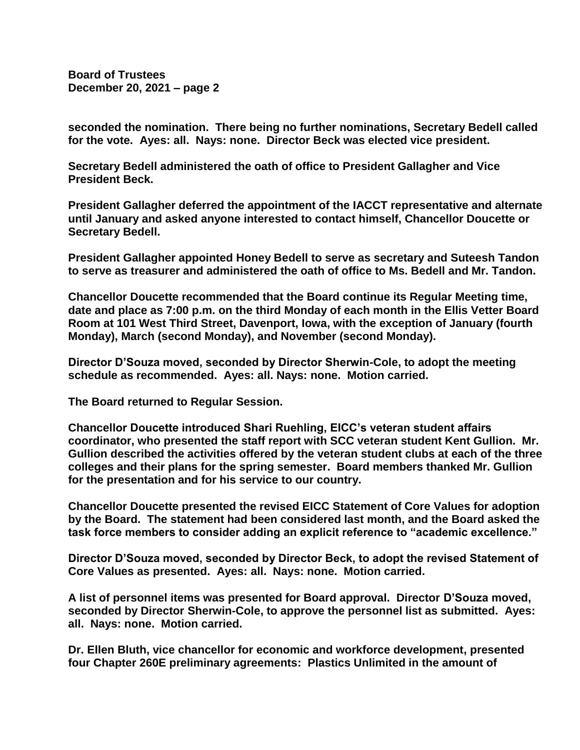**seconded the nomination. There being no further nominations, Secretary Bedell called for the vote. Ayes: all. Nays: none. Director Beck was elected vice president.**

**Secretary Bedell administered the oath of office to President Gallagher and Vice President Beck.** 

**President Gallagher deferred the appointment of the IACCT representative and alternate until January and asked anyone interested to contact himself, Chancellor Doucette or Secretary Bedell.**

**President Gallagher appointed Honey Bedell to serve as secretary and Suteesh Tandon to serve as treasurer and administered the oath of office to Ms. Bedell and Mr. Tandon.**

**Chancellor Doucette recommended that the Board continue its Regular Meeting time, date and place as 7:00 p.m. on the third Monday of each month in the Ellis Vetter Board Room at 101 West Third Street, Davenport, Iowa, with the exception of January (fourth Monday), March (second Monday), and November (second Monday).**

**Director D'Souza moved, seconded by Director Sherwin-Cole, to adopt the meeting schedule as recommended. Ayes: all. Nays: none. Motion carried.**

**The Board returned to Regular Session.**

**Chancellor Doucette introduced Shari Ruehling, EICC's veteran student affairs coordinator, who presented the staff report with SCC veteran student Kent Gullion. Mr. Gullion described the activities offered by the veteran student clubs at each of the three colleges and their plans for the spring semester. Board members thanked Mr. Gullion for the presentation and for his service to our country.**

**Chancellor Doucette presented the revised EICC Statement of Core Values for adoption by the Board. The statement had been considered last month, and the Board asked the task force members to consider adding an explicit reference to "academic excellence."**

**Director D'Souza moved, seconded by Director Beck, to adopt the revised Statement of Core Values as presented. Ayes: all. Nays: none. Motion carried.**

**A list of personnel items was presented for Board approval. Director D'Souza moved, seconded by Director Sherwin-Cole, to approve the personnel list as submitted. Ayes: all. Nays: none. Motion carried.**

**Dr. Ellen Bluth, vice chancellor for economic and workforce development, presented four Chapter 260E preliminary agreements: Plastics Unlimited in the amount of**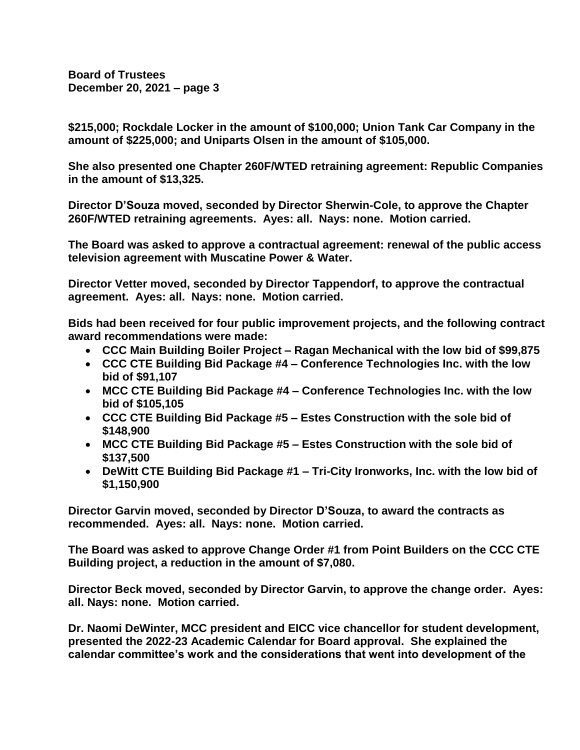**\$215,000; Rockdale Locker in the amount of \$100,000; Union Tank Car Company in the amount of \$225,000; and Uniparts Olsen in the amount of \$105,000.**

**She also presented one Chapter 260F/WTED retraining agreement: Republic Companies in the amount of \$13,325.**

**Director D'Souza moved, seconded by Director Sherwin-Cole, to approve the Chapter 260F/WTED retraining agreements. Ayes: all. Nays: none. Motion carried.**

**The Board was asked to approve a contractual agreement: renewal of the public access television agreement with Muscatine Power & Water.**

**Director Vetter moved, seconded by Director Tappendorf, to approve the contractual agreement. Ayes: all. Nays: none. Motion carried.**

**Bids had been received for four public improvement projects, and the following contract award recommendations were made:**

- **CCC Main Building Boiler Project – Ragan Mechanical with the low bid of \$99,875**
- **CCC CTE Building Bid Package #4 – Conference Technologies Inc. with the low bid of \$91,107**
- **MCC CTE Building Bid Package #4 – Conference Technologies Inc. with the low bid of \$105,105**
- **CCC CTE Building Bid Package #5 – Estes Construction with the sole bid of \$148,900**
- **MCC CTE Building Bid Package #5 – Estes Construction with the sole bid of \$137,500**
- **DeWitt CTE Building Bid Package #1 – Tri-City Ironworks, Inc. with the low bid of \$1,150,900**

**Director Garvin moved, seconded by Director D'Souza, to award the contracts as recommended. Ayes: all. Nays: none. Motion carried.**

**The Board was asked to approve Change Order #1 from Point Builders on the CCC CTE Building project, a reduction in the amount of \$7,080.**

**Director Beck moved, seconded by Director Garvin, to approve the change order. Ayes: all. Nays: none. Motion carried.**

**Dr. Naomi DeWinter, MCC president and EICC vice chancellor for student development, presented the 2022-23 Academic Calendar for Board approval. She explained the calendar committee's work and the considerations that went into development of the**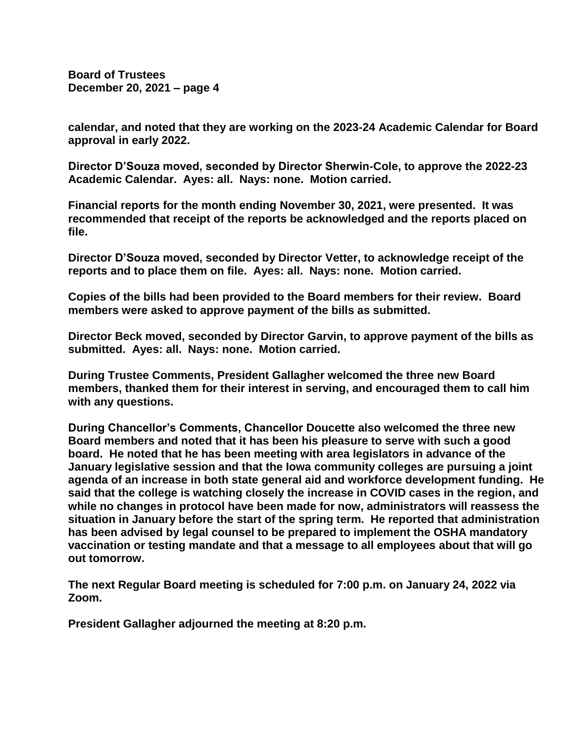**calendar, and noted that they are working on the 2023-24 Academic Calendar for Board approval in early 2022.**

**Director D'Souza moved, seconded by Director Sherwin-Cole, to approve the 2022-23 Academic Calendar. Ayes: all. Nays: none. Motion carried.**

**Financial reports for the month ending November 30, 2021, were presented. It was recommended that receipt of the reports be acknowledged and the reports placed on file.**

**Director D'Souza moved, seconded by Director Vetter, to acknowledge receipt of the reports and to place them on file. Ayes: all. Nays: none. Motion carried.**

**Copies of the bills had been provided to the Board members for their review. Board members were asked to approve payment of the bills as submitted.**

**Director Beck moved, seconded by Director Garvin, to approve payment of the bills as submitted. Ayes: all. Nays: none. Motion carried.**

**During Trustee Comments, President Gallagher welcomed the three new Board members, thanked them for their interest in serving, and encouraged them to call him with any questions.**

**During Chancellor's Comments, Chancellor Doucette also welcomed the three new Board members and noted that it has been his pleasure to serve with such a good board. He noted that he has been meeting with area legislators in advance of the January legislative session and that the Iowa community colleges are pursuing a joint agenda of an increase in both state general aid and workforce development funding. He said that the college is watching closely the increase in COVID cases in the region, and while no changes in protocol have been made for now, administrators will reassess the situation in January before the start of the spring term. He reported that administration has been advised by legal counsel to be prepared to implement the OSHA mandatory vaccination or testing mandate and that a message to all employees about that will go out tomorrow.**

**The next Regular Board meeting is scheduled for 7:00 p.m. on January 24, 2022 via Zoom.** 

**President Gallagher adjourned the meeting at 8:20 p.m.**